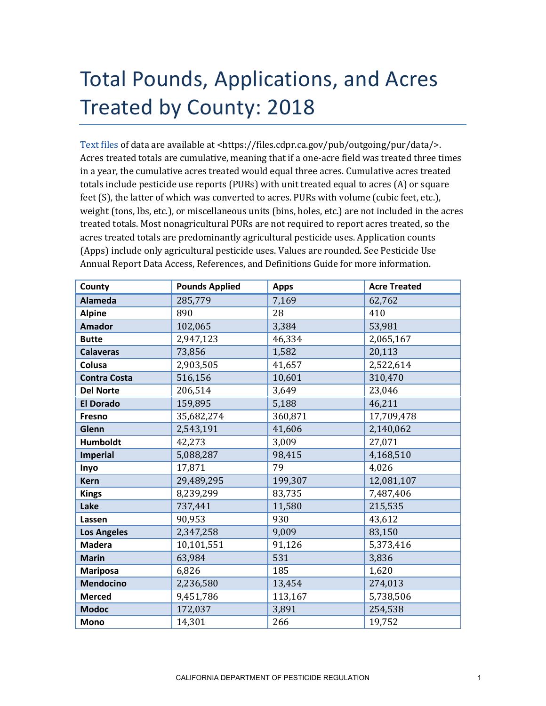## Total Pounds, Applications, and Acres Treated by County: 2018

[Text files](https://files.cdpr.ca.gov/pub/outgoing/pur/data/) of data are available at <https://files.cdpr.ca.gov/pub/outgoing/pur/data/>. Acres treated totals are cumulative, meaning that if a one-acre field was treated three times in a year, the cumulative acres treated would equal three acres. Cumulative acres treated totals include pesticide use reports (PURs) with unit treated equal to acres (A) or square feet (S), the latter of which was converted to acres. PURs with volume (cubic feet, etc.), weight (tons, lbs, etc.), or miscellaneous units (bins, holes, etc.) are not included in the acres treated totals. Most nonagricultural PURs are not required to report acres treated, so the acres treated totals are predominantly agricultural pesticide uses. Application counts (Apps) include only agricultural pesticide uses. Values are rounded. See Pesticide Use Annual Report Data Access, References, and Definitions Guide for more information.

| County              | <b>Pounds Applied</b> | <b>Apps</b> | <b>Acre Treated</b> |
|---------------------|-----------------------|-------------|---------------------|
| <b>Alameda</b>      | 285,779               | 7,169       | 62,762              |
| <b>Alpine</b>       | 890                   | 28          | 410                 |
| <b>Amador</b>       | 102,065               | 3,384       | 53,981              |
| <b>Butte</b>        | 2,947,123             | 46,334      | 2,065,167           |
| <b>Calaveras</b>    | 73,856                | 1,582       | 20,113              |
| Colusa              | 2,903,505             | 41,657      | 2,522,614           |
| <b>Contra Costa</b> | 516,156               | 10,601      | 310,470             |
| <b>Del Norte</b>    | 206,514               | 3,649       | 23,046              |
| <b>El Dorado</b>    | 159,895               | 5,188       | 46,211              |
| Fresno              | 35,682,274            | 360,871     | 17,709,478          |
| Glenn               | 2,543,191             | 41,606      | 2,140,062           |
| <b>Humboldt</b>     | 42,273                | 3,009       | 27,071              |
| <b>Imperial</b>     | 5,088,287             | 98,415      | 4,168,510           |
| Inyo                | 17,871                | 79          | 4,026               |
| <b>Kern</b>         | 29,489,295            | 199,307     | 12,081,107          |
| <b>Kings</b>        | 8,239,299             | 83,735      | 7,487,406           |
| Lake                | 737,441               | 11,580      | 215,535             |
| Lassen              | 90,953                | 930         | 43,612              |
| <b>Los Angeles</b>  | 2,347,258             | 9,009       | 83,150              |
| <b>Madera</b>       | 10,101,551            | 91,126      | 5,373,416           |
| <b>Marin</b>        | 63,984                | 531         | 3,836               |
| <b>Mariposa</b>     | 6,826                 | 185         | 1,620               |
| <b>Mendocino</b>    | 2,236,580             | 13,454      | 274,013             |
| <b>Merced</b>       | 9,451,786             | 113,167     | 5,738,506           |
| <b>Modoc</b>        | 172,037               | 3,891       | 254,538             |
| <b>Mono</b>         | 14,301                | 266         | 19,752              |